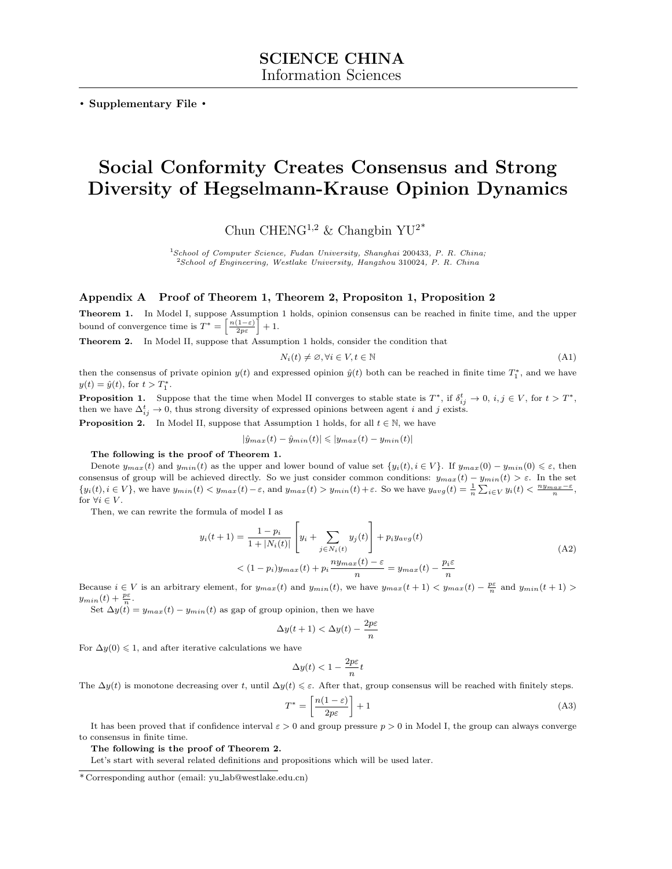. Supplementary File .

# Social Conformity Creates Consensus and Strong Diversity of Hegselmann-Krause Opinion Dynamics

Chun CHENG<sup>1,2</sup> & Changbin YU<sup>2\*</sup>

 $1$ School of Computer Science, Fudan University, Shanghai 200433, P. R. China; <sup>2</sup>School of Engineering, Westlake University, Hangzhou 310024, P. R. China

# Appendix A Proof of Theorem 1, Theorem 2, Propositon 1, Proposition 2

Theorem 1. In Model I, suppose Assumption 1 holds, opinion consensus can be reached in finite time, and the upper bound of convergence time is  $T^* = \left\lceil \frac{n(1-\varepsilon)}{2p\varepsilon} \right\rceil + 1$ .

Theorem 2. In Model II, suppose that Assumption 1 holds, consider the condition that

$$
N_i(t) \neq \emptyset, \forall i \in V, t \in \mathbb{N} \tag{A1}
$$

then the consensus of private opinion  $y(t)$  and expressed opinion  $\hat{y}(t)$  both can be reached in finite time  $T_1^*$ , and we have  $y(t) = \hat{y}(t)$ , for  $t > T_1^*$ .

**Proposition 1.** Suppose that the time when Model II converges to stable state is  $T^*$ , if  $\delta_{ij}^t \to 0$ ,  $i, j \in V$ , for  $t > T^*$ , then we have  $\Delta_{ij}^t \to 0$ , thus strong diversity of expressed opinions between agent i and j exists.

**Proposition 2.** In Model II, suppose that Assumption 1 holds, for all  $t \in \mathbb{N}$ , we have

$$
|\hat{y}_{max}(t) - \hat{y}_{min}(t)| \leq |y_{max}(t) - y_{min}(t)|
$$

### The following is the proof of Theorem 1.

Denote  $y_{max}(t)$  and  $y_{min}(t)$  as the upper and lower bound of value set  $\{y_i(t), i \in V\}$ . If  $y_{max}(0) - y_{min}(0) \leq \varepsilon$ , then consensus of group will be achieved directly. So we just consider common conditions:  $y_{max}(t) - y_{min}(t) > \varepsilon$ . In the set  ${y_i(t), i \in V}$ , we have  $y_{min}(t) < y_{max}(t) - \varepsilon$ , and  $y_{max}(t) > y_{min}(t) + \varepsilon$ . So we have  $y_{avg}(t) = \frac{1}{n} \sum_{i \in V} y_i(t) < \frac{ny_{max}-\varepsilon}{n}$ , for  $\forall i \in V$ .

Then, we can rewrite the formula of model I as

$$
y_i(t+1) = \frac{1-p_i}{1+|N_i(t)|} \left[ y_i + \sum_{j \in N_i(t)} y_j(t) \right] + p_i y_{avg}(t)
$$
  
< 
$$
\langle (1-p_i)y_{max}(t) + p_i \frac{ny_{max}(t) - \varepsilon}{n} = y_{max}(t) - \frac{p_i \varepsilon}{n}
$$
 (A2)

Because  $i \in V$  is an arbitrary element, for  $y_{max}(t)$  and  $y_{min}(t)$ , we have  $y_{max}(t+1) < y_{max}(t) - \frac{p\varepsilon}{n}$  and  $y_{min}(t+1) >$  $y_{min}(t) + \frac{p\varepsilon}{n}.$ 

 $\text{Set} \Delta y(t) = y_{max}(t) - y_{min}(t)$  as gap of group opinion, then we have

$$
\Delta y(t+1) < \Delta y(t) - \frac{2p\varepsilon}{n}
$$

For  $\Delta y(0) \leq 1$ , and after iterative calculations we have

$$
\Delta y(t) < 1 - \frac{2p\varepsilon}{n}t
$$

The  $\Delta y(t)$  is monotone decreasing over t, until  $\Delta y(t) \leq \varepsilon$ . After that, group consensus will be reached with finitely steps.

$$
T^* = \left[\frac{n(1-\varepsilon)}{2p\varepsilon}\right] + 1\tag{A3}
$$

It has been proved that if confidence interval  $\varepsilon > 0$  and group pressure  $p > 0$  in Model I, the group can always converge to consensus in finite time.

The following is the proof of Theorem 2.

Let's start with several related definitions and propositions which will be used later.

<sup>\*</sup> Corresponding author (email: yu lab@westlake.edu.cn)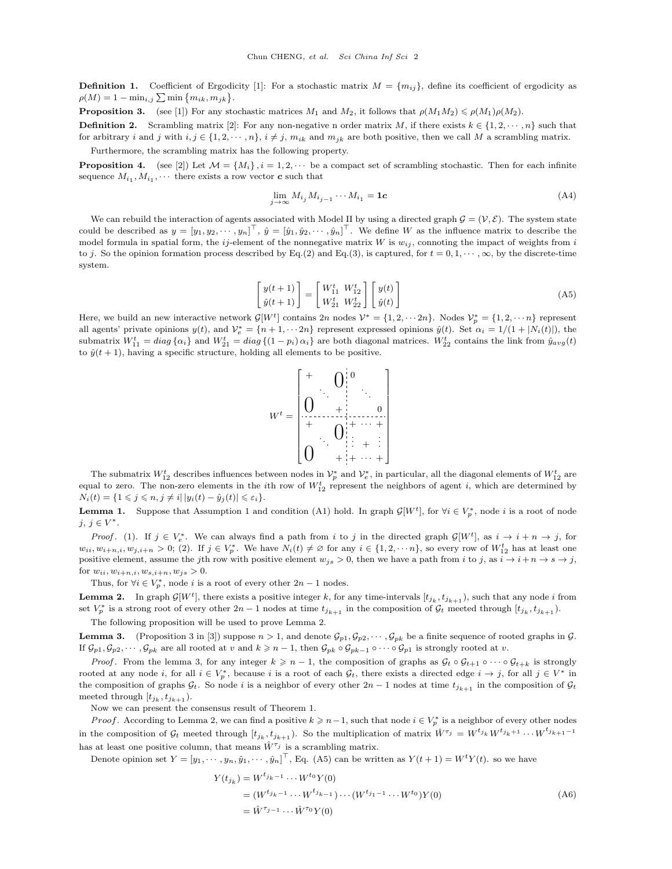**Definition 1.** Coefficient of Ergodicity [\[1\]](#page-2-0): For a stochastic matrix  $M = \{m_{ij}\}\$ , define its coefficient of ergodicity as  $\rho(M) = 1 - \min_{i,j} \sum \min \{m_{ik}, m_{jk}\}.$ 

**Proposition 3.** (see [\[1\]](#page-2-0)) For any stochastic matrices  $M_1$  and  $M_2$ , it follows that  $\rho(M_1M_2) \leq \rho(M_1)\rho(M_2)$ .

**Definition 2.** Scrambling matrix [\[2\]](#page-2-1): For any non-negative n order matrix M, if there exists  $k \in \{1, 2, \dots, n\}$  such that for arbitrary i and j with  $i, j \in \{1, 2, \dots, n\}, i \neq j, m_{ik}$  and  $m_{jk}$  are both positive, then we call M a scrambling matrix. Furthermore, the scrambling matrix has the following property.

<span id="page-1-3"></span>**Proposition 4.** (see [\[2\]](#page-2-1)) Let  $\mathcal{M} = \{M_i\}$ ,  $i = 1, 2, \cdots$  be a compact set of scrambling stochastic. Then for each infinite sequence  $M_{i_1}, M_{i_1}, \cdots$  there exists a row vector  $\boldsymbol{c}$  such that

$$
\lim_{j \to \infty} M_{i_j} M_{i_{j-1}} \cdots M_{i_1} = \mathbf{1c} \tag{A4}
$$

We can rebuild the interaction of agents associated with Model II by using a directed graph  $\mathcal{G} = (\mathcal{V}, \mathcal{E})$ . The system state could be described as  $y = [y_1, y_2, \dots, y_n]^\top$ ,  $\hat{y} = [\hat{y}_1, \hat{y}_2, \dots, \hat{y}_n]^\top$ . We define W as the influence matrix to describe the model formula in spatial form, the ij-element of the nonnegative matrix W is  $w_{ij}$ , connoting the impact of weights from i to j. So the opinion formation process described by Eq.(2) and Eq.(3), is captured, for  $t = 0, 1, \dots, \infty$ , by the discrete-time system.

<span id="page-1-2"></span>
$$
\begin{bmatrix} y(t+1) \\ \hat{y}(t+1) \end{bmatrix} = \begin{bmatrix} W_{11}^t & W_{12}^t \\ W_{21}^t & W_{22}^t \end{bmatrix} \begin{bmatrix} y(t) \\ \hat{y}(t) \end{bmatrix}
$$
 (A5)

Here, we build an new interactive network  $\mathcal{G}[W^t]$  contains  $2n$  nodes  $\mathcal{V}^* = \{1, 2, \cdots 2n\}$ . Nodes  $\mathcal{V}^*_p = \{1, 2, \cdots n\}$  represent all agents' private opinions  $y(t)$ , and  $\mathcal{V}_e^* = \{n+1, \dots 2n\}$  represent expressed opinions  $\hat{y}(t)$ . Set  $\alpha_i = 1/(1 + |N_i(t)|)$ , the submatrix  $W_{11}^t = diag\{\alpha_i\}$  and  $W_{21}^t = diag\{(1 - p_i)\alpha_i\}$  are both diagonal matrices.  $W_{22}^t$  contains the link from  $\hat{y}_{avg}(t)$ to  $\hat{y}(t+1)$ , having a specific structure, holding all elements to be positive.



The submatrix  $W_{12}^t$  describes influences between nodes in  $\mathcal{V}_p^*$  and  $\mathcal{V}_e^*$ , in particular, all the diagonal elements of  $W_{12}^t$  are equal to zero. The non-zero elements in the *i*th row of  $W_{12}^t$  represent the neighbors of agent *i*, which are determined by  $N_i(t) = \{1 \leq j \leq n, j \neq i | |y_i(t) - \hat{y}_j(t)| \leq \varepsilon_i\}.$ 

**Lemma 1.** Suppose that Assumption 1 and condition (A1) hold. In graph  $\mathcal{G}[W^t]$ , for  $\forall i \in V_p^*$ , node i is a root of node  $j, j \in V^*$ .

*Proof.* (1). If  $j \in V_e^*$ . We can always find a path from i to j in the directed graph  $\mathcal{G}[W^t]$ , as  $i \to i + n \to j$ , for  $w_{ii}, w_{i+n,i}, w_{j,i+n} > 0$ ; (2). If  $j \in V_p^*$ . We have  $N_i(t) \neq \emptyset$  for any  $i \in \{1, 2, \dots n\}$ , so every row of  $W_{12}^t$  has at least one positive element, assume the jth row with positive element  $w_{js} > 0$ , then we have a path from i to j, as  $i \to i + n \to s \to j$ , for  $w_{ii}, w_{i+n,i}, w_{s,i+n}, w_{js} > 0$ .

Thus, for  $\forall i \in V_p^*$ , node *i* is a root of every other  $2n - 1$  nodes.

<span id="page-1-0"></span>**Lemma 2.** In graph  $\mathcal{G}[W^t]$ , there exists a positive integer k, for any time-intervals  $[t_{j_k}, t_{j_{k+1}})$ , such that any node i from set  $V_p^*$  is a strong root of every other  $2n-1$  nodes at time  $t_{j_{k+1}}$  in the composition of  $\mathcal{G}_t$  meeted through  $[t_{j_k}, t_{j_{k+1}})$ .

The following proposition will be used to prove Lemma [2.](#page-1-0)

<span id="page-1-1"></span>**Lemma 3.** (Proposition 3 in [\[3\]](#page-2-2)) suppose  $n > 1$ , and denote  $\mathcal{G}_{p1}, \mathcal{G}_{p2}, \dots, \mathcal{G}_{pk}$  be a finite sequence of rooted graphs in  $\mathcal{G}$ . If  $\mathcal{G}_{p1}, \mathcal{G}_{p2}, \cdots, \mathcal{G}_{pk}$  are all rooted at v and  $k \geq n-1$ , then  $\mathcal{G}_{pk} \circ \mathcal{G}_{pk-1} \circ \cdots \circ \mathcal{G}_{p1}$  is strongly rooted at v.

*Proof.* From the lemma [3,](#page-1-1) for any integer  $k \geq n-1$ , the composition of graphs as  $\mathcal{G}_t \circ \mathcal{G}_{t+1} \circ \cdots \circ \mathcal{G}_{t+k}$  is strongly rooted at any node i, for all  $i \in V_p^*$ , because i is a root of each  $\mathcal{G}_t$ , there exists a directed edge  $i \to j$ , for all  $j \in V^*$  in the composition of graphs  $\mathcal{G}_t$ . So node i is a neighbor of every other  $2n-1$  nodes at time  $t_{j_{k+1}}$  in the composition of  $\mathcal{G}_t$ meeted through  $[t_{j_k}, t_{j_{k+1}})$ .

Now we can present the consensus result of Theorem 1.

*Proof.* According to Lemma [2,](#page-1-0) we can find a positive  $k \geq n-1$ , such that node  $i \in V_p^*$  is a neighbor of every other nodes in the composition of  $\mathcal{G}_t$  meeted through  $[t_{j_k}, t_{j_{k+1}}]$ . So the multiplication of matrix  $\hat{W}^{\tau_j} = W^{t_{j_k}} W^{t_{j_k+1}} \cdots W^{t_{j_{k+1}-1}}$ has at least one positive column, that means  $\hat{W}^{\tau_j}$  is a scrambling matrix.

Denote opinion set  $Y = [y_1, \dots, y_n, \hat{y}_1, \dots, \hat{y}_n]^\top$ , Eq. [\(A5\)](#page-1-2) can be written as  $Y(t+1) = W^t Y(t)$ . so we have

$$
Y(t_{j_k}) = W^{t_{j_k-1}} \cdots W^{t_0} Y(0)
$$
  
=  $(W^{t_{j_k-1}} \cdots W^{t_{j_{k-1}}}) \cdots (W^{t_{j_1-1}} \cdots W^{t_0}) Y(0)$   
=  $\hat{W}^{\tau_{j-1}} \cdots \hat{W}^{\tau_0} Y(0)$  (A6)